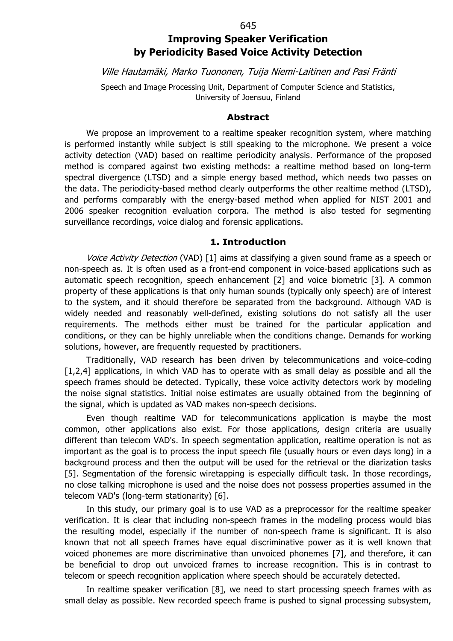#### 645

# **Improving Speaker Verification by Periodicity Based Voice Activity Detection**

Ville Hautamäki, Marko Tuononen, Tuija Niemi-Laitinen and Pasi Fränti

Speech and Image Processing Unit, Department of Computer Science and Statistics, University of Joensuu, Finland

#### **Abstract**

We propose an improvement to a realtime speaker recognition system, where matching is performed instantly while subject is still speaking to the microphone. We present a voice activity detection (VAD) based on realtime periodicity analysis. Performance of the proposed method is compared against two existing methods: a realtime method based on long-term spectral divergence (LTSD) and a simple energy based method, which needs two passes on the data. The periodicity-based method clearly outperforms the other realtime method (LTSD), and performs comparably with the energy-based method when applied for NIST 2001 and 2006 speaker recognition evaluation corpora. The method is also tested for segmenting surveillance recordings, voice dialog and forensic applications.

### **1. Introduction**

Voice Activity Detection (VAD) [1] aims at classifying a given sound frame as a speech or non-speech as. It is often used as a front-end component in voice-based applications such as automatic speech recognition, speech enhancement [2] and voice biometric [3]. A common property of these applications is that only human sounds (typically only speech) are of interest to the system, and it should therefore be separated from the background. Although VAD is widely needed and reasonably well-defined, existing solutions do not satisfy all the user requirements. The methods either must be trained for the particular application and conditions, or they can be highly unreliable when the conditions change. Demands for working solutions, however, are frequently requested by practitioners.

Traditionally, VAD research has been driven by telecommunications and voice-coding [1,2,4] applications, in which VAD has to operate with as small delay as possible and all the speech frames should be detected. Typically, these voice activity detectors work by modeling the noise signal statistics. Initial noise estimates are usually obtained from the beginning of the signal, which is updated as VAD makes non-speech decisions.

Even though realtime VAD for telecommunications application is maybe the most common, other applications also exist. For those applications, design criteria are usually different than telecom VAD's. In speech segmentation application, realtime operation is not as important as the goal is to process the input speech file (usually hours or even days long) in a background process and then the output will be used for the retrieval or the diarization tasks [5]. Segmentation of the forensic wiretapping is especially difficult task. In those recordings, no close talking microphone is used and the noise does not possess properties assumed in the telecom VAD's (long-term stationarity) [6].

In this study, our primary goal is to use VAD as a preprocessor for the realtime speaker verification. It is clear that including non-speech frames in the modeling process would bias the resulting model, especially if the number of non-speech frame is significant. It is also known that not all speech frames have equal discriminative power as it is well known that voiced phonemes are more discriminative than unvoiced phonemes [7], and therefore, it can be beneficial to drop out unvoiced frames to increase recognition. This is in contrast to telecom or speech recognition application where speech should be accurately detected.

In realtime speaker verification [8], we need to start processing speech frames with as small delay as possible. New recorded speech frame is pushed to signal processing subsystem,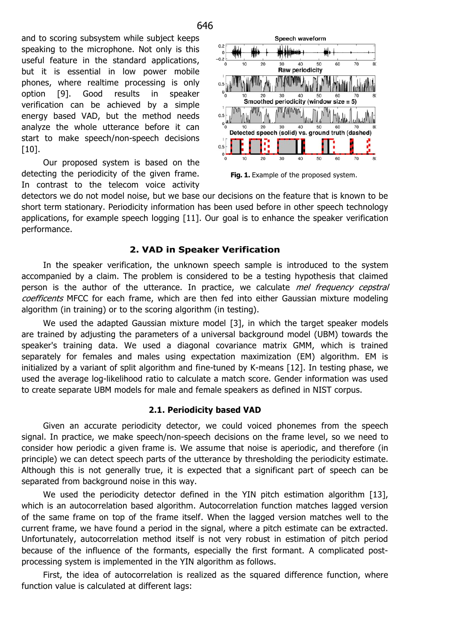and to scoring subsystem while subject keeps speaking to the microphone. Not only is this useful feature in the standard applications, but it is essential in low power mobile phones, where realtime processing is only option [9]. Good results in speaker verification can be achieved by a simple energy based VAD, but the method needs analyze the whole utterance before it can start to make speech/non-speech decisions [10].

Our proposed system is based on the detecting the periodicity of the given frame. In contrast to the telecom voice activity



Fig. 1. Example of the proposed system.

detectors we do not model noise, but we base our decisions on the feature that is known to be short term stationary. Periodicity information has been used before in other speech technology applications, for example speech logging [11]. Our goal is to enhance the speaker verification performance.

# **2. VAD in Speaker Verification**

In the speaker verification, the unknown speech sample is introduced to the system accompanied by a claim. The problem is considered to be a testing hypothesis that claimed person is the author of the utterance. In practice, we calculate *mel frequency cepstral* coefficents MFCC for each frame, which are then fed into either Gaussian mixture modeling algorithm (in training) or to the scoring algorithm (in testing).

We used the adapted Gaussian mixture model [3], in which the target speaker models are trained by adjusting the parameters of a universal background model (UBM) towards the speaker's training data. We used a diagonal covariance matrix GMM, which is trained separately for females and males using expectation maximization (EM) algorithm. EM is initialized by a variant of split algorithm and fine-tuned by K-means [12]. In testing phase, we used the average log-likelihood ratio to calculate a match score. Gender information was used to create separate UBM models for male and female speakers as defined in NIST corpus.

# **2.1. Periodicity based VAD**

Given an accurate periodicity detector, we could voiced phonemes from the speech signal. In practice, we make speech/non-speech decisions on the frame level, so we need to consider how periodic a given frame is. We assume that noise is aperiodic, and therefore (in principle) we can detect speech parts of the utterance by thresholding the periodicity estimate. Although this is not generally true, it is expected that a significant part of speech can be separated from background noise in this way.

We used the periodicity detector defined in the YIN pitch estimation algorithm [13], which is an autocorrelation based algorithm. Autocorrelation function matches lagged version of the same frame on top of the frame itself. When the lagged version matches well to the current frame, we have found a period in the signal, where a pitch estimate can be extracted. Unfortunately, autocorrelation method itself is not very robust in estimation of pitch period because of the influence of the formants, especially the first formant. A complicated postprocessing system is implemented in the YIN algorithm as follows.

First, the idea of autocorrelation is realized as the squared difference function, where function value is calculated at different lags: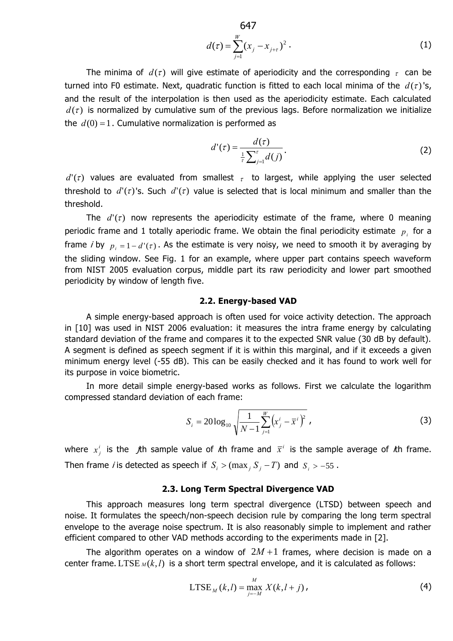647  

$$
d(\tau) = \sum_{j=1}^{W} (x_j - x_{j+\tau})^2.
$$
 (1)

The minima of  $d(\tau)$  will give estimate of aperiodicity and the corresponding  $\tau$  can be turned into F0 estimate. Next, quadratic function is fitted to each local minima of the  $d(\tau)$ 's, and the result of the interpolation is then used as the aperiodicity estimate. Each calculated  $d(\tau)$  is normalized by cumulative sum of the previous lags. Before normalization we initialize the  $d(0) = 1$ . Cumulative normalization is performed as

$$
d'(\tau) = \frac{d(\tau)}{\frac{1}{\tau} \sum_{j=1}^{\tau} d(j)}.
$$
 (2)

 $d'(\tau)$  values are evaluated from smallest  $\tau$  to largest, while applying the user selected threshold to  $d'(\tau)$ 's. Such  $d'(\tau)$  value is selected that is local minimum and smaller than the threshold.

The  $d'(\tau)$  now represents the aperiodicity estimate of the frame, where 0 meaning periodic frame and 1 totally aperiodic frame. We obtain the final periodicity estimate  $p_i$  for a frame *i* by  $p_i = 1 - d'(\tau)$ . As the estimate is very noisy, we need to smooth it by averaging by the sliding window. See Fig. 1 for an example, where upper part contains speech waveform from NIST 2005 evaluation corpus, middle part its raw periodicity and lower part smoothed periodicity by window of length five.

#### **2.2. Energy-based VAD**

A simple energy-based approach is often used for voice activity detection. The approach in [10] was used in NIST 2006 evaluation: it measures the intra frame energy by calculating standard deviation of the frame and compares it to the expected SNR value (30 dB by default). A segment is defined as speech segment if it is within this marginal, and if it exceeds a given minimum energy level (-55 dB). This can be easily checked and it has found to work well for its purpose in voice biometric.

In more detail simple energy-based works as follows. First we calculate the logarithm compressed standard deviation of each frame:

$$
S_{i} = 20\log_{10}\sqrt{\frac{1}{N-1}\sum_{j=1}^{W}\left(x_{j}^{i}-\bar{x}^{i}\right)^{2}}\tag{3}
$$

where  $x_j^i$  is the  $j$ th sample value of *i*th frame and  $\bar{x}^i$  is the sample average of *i*th frame. Then frame *i* is detected as speech if  $S_i > (max_j S_j - T)$  and  $S_i > -55$ .

### **2.3. Long Term Spectral Divergence VAD**

This approach measures long term spectral divergence (LTSD) between speech and noise. It formulates the speech/non-speech decision rule by comparing the long term spectral envelope to the average noise spectrum. It is also reasonably simple to implement and rather efficient compared to other VAD methods according to the experiments made in [2].

The algorithm operates on a window of  $2M+1$  frames, where decision is made on a center frame. LTSE  $_M(k, l)$  is a short term spectral envelope, and it is calculated as follows:

$$
LTSE_{M}(k, l) = \max_{j=-M}^{M} X(k, l+j),
$$
\n(4)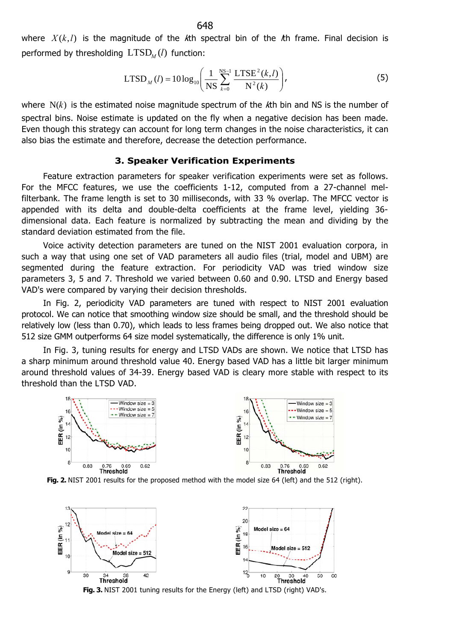where  $X(k, l)$  is the magnitude of the k<sup>th</sup> spectral bin of the kh frame. Final decision is performed by thresholding  $LTSD<sub>M</sub>(l)$  function:

$$
LTSD_{M}(l) = 10 log_{10} \left( \frac{1}{NS} \sum_{k=0}^{NS-1} \frac{LTSE^{2}(k, l)}{N^{2}(k)} \right),
$$
 (5)

where N(*k*) is the estimated noise magnitude spectrum of the kth bin and NS is the number of spectral bins. Noise estimate is updated on the fly when a negative decision has been made. Even though this strategy can account for long term changes in the noise characteristics, it can also bias the estimate and therefore, decrease the detection performance.

### **3. Speaker Verification Experiments**

Feature extraction parameters for speaker verification experiments were set as follows. For the MFCC features, we use the coefficients 1-12, computed from a 27-channel melfilterbank. The frame length is set to 30 milliseconds, with 33 % overlap. The MFCC vector is appended with its delta and double-delta coefficients at the frame level, yielding 36 dimensional data. Each feature is normalized by subtracting the mean and dividing by the standard deviation estimated from the file.

Voice activity detection parameters are tuned on the NIST 2001 evaluation corpora, in such a way that using one set of VAD parameters all audio files (trial, model and UBM) are segmented during the feature extraction. For periodicity VAD was tried window size parameters 3, 5 and 7. Threshold we varied between 0.60 and 0.90. LTSD and Energy based VAD's were compared by varying their decision thresholds.

In Fig. 2, periodicity VAD parameters are tuned with respect to NIST 2001 evaluation protocol. We can notice that smoothing window size should be small, and the threshold should be relatively low (less than 0.70), which leads to less frames being dropped out. We also notice that 512 size GMM outperforms 64 size model systematically, the difference is only 1% unit.

In Fig. 3, tuning results for energy and LTSD VADs are shown. We notice that LTSD has a sharp minimum around threshold value 40. Energy based VAD has a little bit larger minimum around threshold values of 34-39. Energy based VAD is cleary more stable with respect to its threshold than the LTSD VAD.







648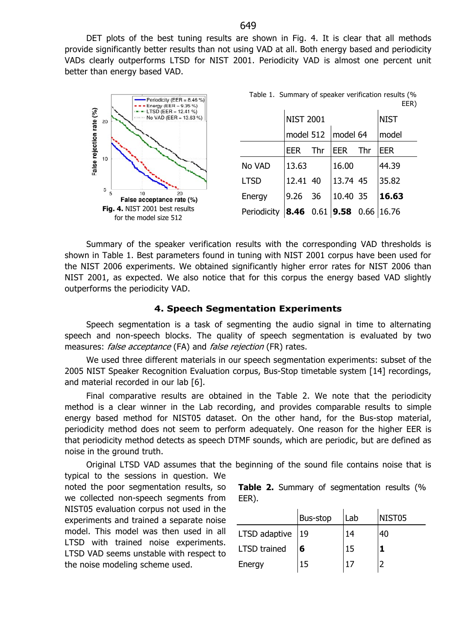DET plots of the best tuning results are shown in Fig. 4. It is clear that all methods provide significantly better results than not using VAD at all. Both energy based and periodicity VADs clearly outperforms LTSD for NIST 2001. Periodicity VAD is almost one percent unit better than energy based VAD.



Summary of the speaker verification results with the corresponding VAD thresholds is shown in Table 1. Best parameters found in tuning with NIST 2001 corpus have been used for the NIST 2006 experiments. We obtained significantly higher error rates for NIST 2006 than NIST 2001, as expected. We also notice that for this corpus the energy based VAD slightly outperforms the periodicity VAD.

### **4. Speech Segmentation Experiments**

Speech segmentation is a task of segmenting the audio signal in time to alternating speech and non-speech blocks. The quality of speech segmentation is evaluated by two measures: false acceptance (FA) and false rejection (FR) rates.

We used three different materials in our speech segmentation experiments: subset of the 2005 NIST Speaker Recognition Evaluation corpus, Bus-Stop timetable system [14] recordings, and material recorded in our lab [6].

Final comparative results are obtained in the Table 2. We note that the periodicity method is a clear winner in the Lab recording, and provides comparable results to simple energy based method for NIST05 dataset. On the other hand, for the Bus-stop material, periodicity method does not seem to perform adequately. One reason for the higher EER is that periodicity method detects as speech DTMF sounds, which are periodic, but are defined as noise in the ground truth.

Original LTSD VAD assumes that the beginning of the sound file contains noise that is typical to the sessions in question. We

noted the poor segmentation results, so we collected non-speech segments from NIST05 evaluation corpus not used in the experiments and trained a separate noise model. This model was then used in all LTSD with trained noise experiments. LTSD VAD seems unstable with respect to the noise modeling scheme used.

|       |  | Table 2. Summary of segmentation results (% |  |
|-------|--|---------------------------------------------|--|
| EER). |  |                                             |  |

|                     | Bus-stop | Lab | NIST <sub>05</sub> |
|---------------------|----------|-----|--------------------|
| LTSD adaptive 19    |          | 14  | 40                 |
| <b>LTSD</b> trained | 6        | 15  |                    |
| Energy              | 15       |     |                    |